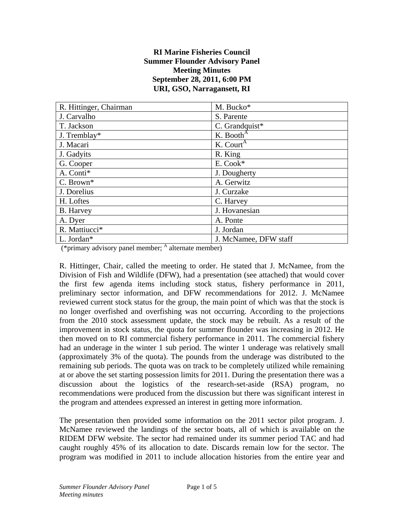## **RI Marine Fisheries Council Summer Flounder Advisory Panel Meeting Minutes September 28, 2011, 6:00 PM URI, GSO, Narragansett, RI**

| R. Hittinger, Chairman | M. Bucko*             |
|------------------------|-----------------------|
| J. Carvalho            | S. Parente            |
| T. Jackson             | C. Grandquist*        |
| J. Tremblay*           | K. Booth <sup>A</sup> |
| J. Macari              | K. Court <sup>A</sup> |
| J. Gadyits             | R. King               |
| G. Cooper              | E. Cook*              |
| A. Conti*              | J. Dougherty          |
| C. Brown*              | A. Gerwitz            |
| J. Dorelius            | J. Curzake            |
| H. Loftes              | C. Harvey             |
| <b>B.</b> Harvey       | J. Hovanesian         |
| A. Dyer                | A. Ponte              |
| R. Mattiucci*          | J. Jordan             |
| L. Jordan*             | J. McNamee, DFW staff |

(\*primary advisory panel member;  $<sup>A</sup>$  alternate member)</sup>

R. Hittinger, Chair, called the meeting to order. He stated that J. McNamee, from the Division of Fish and Wildlife (DFW), had a presentation (see attached) that would cover the first few agenda items including stock status, fishery performance in 2011, preliminary sector information, and DFW recommendations for 2012. J. McNamee reviewed current stock status for the group, the main point of which was that the stock is no longer overfished and overfishing was not occurring. According to the projections from the 2010 stock assessment update, the stock may be rebuilt. As a result of the improvement in stock status, the quota for summer flounder was increasing in 2012. He then moved on to RI commercial fishery performance in 2011. The commercial fishery had an underage in the winter 1 sub period. The winter 1 underage was relatively small (approximately 3% of the quota). The pounds from the underage was distributed to the remaining sub periods. The quota was on track to be completely utilized while remaining at or above the set starting possession limits for 2011. During the presentation there was a discussion about the logistics of the research-set-aside (RSA) program, no recommendations were produced from the discussion but there was significant interest in the program and attendees expressed an interest in getting more information.

The presentation then provided some information on the 2011 sector pilot program. J. McNamee reviewed the landings of the sector boats, all of which is available on the RIDEM DFW website. The sector had remained under its summer period TAC and had caught roughly 45% of its allocation to date. Discards remain low for the sector. The program was modified in 2011 to include allocation histories from the entire year and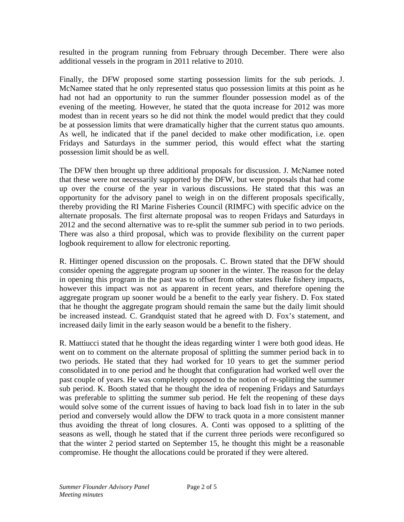resulted in the program running from February through December. There were also additional vessels in the program in 2011 relative to 2010.

Finally, the DFW proposed some starting possession limits for the sub periods. J. McNamee stated that he only represented status quo possession limits at this point as he had not had an opportunity to run the summer flounder possession model as of the evening of the meeting. However, he stated that the quota increase for 2012 was more modest than in recent years so he did not think the model would predict that they could be at possession limits that were dramatically higher that the current status quo amounts. As well, he indicated that if the panel decided to make other modification, i.e. open Fridays and Saturdays in the summer period, this would effect what the starting possession limit should be as well.

The DFW then brought up three additional proposals for discussion. J. McNamee noted that these were not necessarily supported by the DFW, but were proposals that had come up over the course of the year in various discussions. He stated that this was an opportunity for the advisory panel to weigh in on the different proposals specifically, thereby providing the RI Marine Fisheries Council (RIMFC) with specific advice on the alternate proposals. The first alternate proposal was to reopen Fridays and Saturdays in 2012 and the second alternative was to re-split the summer sub period in to two periods. There was also a third proposal, which was to provide flexibility on the current paper logbook requirement to allow for electronic reporting.

R. Hittinger opened discussion on the proposals. C. Brown stated that the DFW should consider opening the aggregate program up sooner in the winter. The reason for the delay in opening this program in the past was to offset from other states fluke fishery impacts, however this impact was not as apparent in recent years, and therefore opening the aggregate program up sooner would be a benefit to the early year fishery. D. Fox stated that he thought the aggregate program should remain the same but the daily limit should be increased instead. C. Grandquist stated that he agreed with D. Fox's statement, and increased daily limit in the early season would be a benefit to the fishery.

R. Mattiucci stated that he thought the ideas regarding winter 1 were both good ideas. He went on to comment on the alternate proposal of splitting the summer period back in to two periods. He stated that they had worked for 10 years to get the summer period consolidated in to one period and he thought that configuration had worked well over the past couple of years. He was completely opposed to the notion of re-splitting the summer sub period. K. Booth stated that he thought the idea of reopening Fridays and Saturdays was preferable to splitting the summer sub period. He felt the reopening of these days would solve some of the current issues of having to back load fish in to later in the sub period and conversely would allow the DFW to track quota in a more consistent manner thus avoiding the threat of long closures. A. Conti was opposed to a splitting of the seasons as well, though he stated that if the current three periods were reconfigured so that the winter 2 period started on September 15, he thought this might be a reasonable compromise. He thought the allocations could be prorated if they were altered.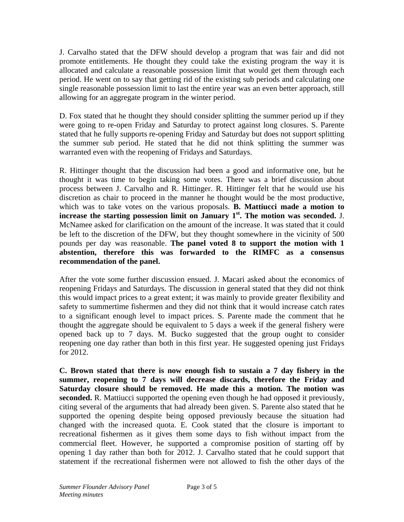J. Carvalho stated that the DFW should develop a program that was fair and did not promote entitlements. He thought they could take the existing program the way it is allocated and calculate a reasonable possession limit that would get them through each period. He went on to say that getting rid of the existing sub periods and calculating one single reasonable possession limit to last the entire year was an even better approach, still allowing for an aggregate program in the winter period.

D. Fox stated that he thought they should consider splitting the summer period up if they were going to re-open Friday and Saturday to protect against long closures. S. Parente stated that he fully supports re-opening Friday and Saturday but does not support splitting the summer sub period. He stated that he did not think splitting the summer was warranted even with the reopening of Fridays and Saturdays.

R. Hittinger thought that the discussion had been a good and informative one, but he thought it was time to begin taking some votes. There was a brief discussion about process between J. Carvalho and R. Hittinger. R. Hittinger felt that he would use his discretion as chair to proceed in the manner he thought would be the most productive, which was to take votes on the various proposals. **B. Mattiucci made a motion to**  increase the starting possession limit on January 1<sup>st</sup>. The motion was seconded. J. McNamee asked for clarification on the amount of the increase. It was stated that it could be left to the discretion of the DFW, but they thought somewhere in the vicinity of 500 pounds per day was reasonable. **The panel voted 8 to support the motion with 1 abstention, therefore this was forwarded to the RIMFC as a consensus recommendation of the panel.** 

After the vote some further discussion ensued. J. Macari asked about the economics of reopening Fridays and Saturdays. The discussion in general stated that they did not think this would impact prices to a great extent; it was mainly to provide greater flexibility and safety to summertime fishermen and they did not think that it would increase catch rates to a significant enough level to impact prices. S. Parente made the comment that he thought the aggregate should be equivalent to 5 days a week if the general fishery were opened back up to 7 days. M. Bucko suggested that the group ought to consider reopening one day rather than both in this first year. He suggested opening just Fridays for 2012.

**C. Brown stated that there is now enough fish to sustain a 7 day fishery in the summer, reopening to 7 days will decrease discards, therefore the Friday and Saturday closure should be removed. He made this a motion. The motion was seconded.** R. Mattiucci supported the opening even though he had opposed it previously, citing several of the arguments that had already been given. S. Parente also stated that he supported the opening despite being opposed previously because the situation had changed with the increased quota. E. Cook stated that the closure is important to recreational fishermen as it gives them some days to fish without impact from the commercial fleet. However, he supported a compromise position of starting off by opening 1 day rather than both for 2012. J. Carvalho stated that he could support that statement if the recreational fishermen were not allowed to fish the other days of the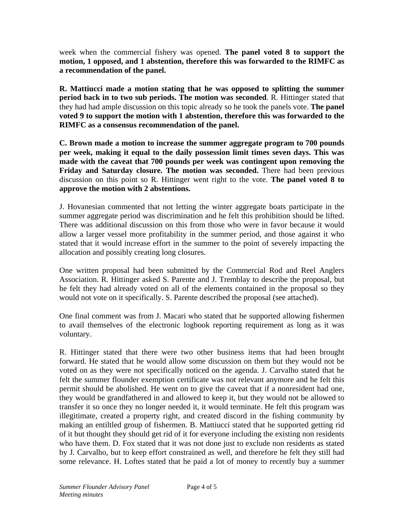week when the commercial fishery was opened. **The panel voted 8 to support the motion, 1 opposed, and 1 abstention, therefore this was forwarded to the RIMFC as a recommendation of the panel.**

**R. Mattiucci made a motion stating that he was opposed to splitting the summer period back in to two sub periods. The motion was seconded**. R. Hittinger stated that they had had ample discussion on this topic already so he took the panels vote. **The panel voted 9 to support the motion with 1 abstention, therefore this was forwarded to the RIMFC as a consensus recommendation of the panel.**

**C. Brown made a motion to increase the summer aggregate program to 700 pounds per week, making it equal to the daily possession limit times seven days. This was made with the caveat that 700 pounds per week was contingent upon removing the Friday and Saturday closure. The motion was seconded.** There had been previous discussion on this point so R. Hittinger went right to the vote. **The panel voted 8 to approve the motion with 2 abstentions.**

J. Hovanesian commented that not letting the winter aggregate boats participate in the summer aggregate period was discrimination and he felt this prohibition should be lifted. There was additional discussion on this from those who were in favor because it would allow a larger vessel more profitability in the summer period, and those against it who stated that it would increase effort in the summer to the point of severely impacting the allocation and possibly creating long closures.

One written proposal had been submitted by the Commercial Rod and Reel Anglers Association. R. Hittinger asked S. Parente and J. Tremblay to describe the proposal, but he felt they had already voted on all of the elements contained in the proposal so they would not vote on it specifically. S. Parente described the proposal (see attached).

One final comment was from J. Macari who stated that he supported allowing fishermen to avail themselves of the electronic logbook reporting requirement as long as it was voluntary.

R. Hittinger stated that there were two other business items that had been brought forward. He stated that he would allow some discussion on them but they would not be voted on as they were not specifically noticed on the agenda. J. Carvalho stated that he felt the summer flounder exemption certificate was not relevant anymore and he felt this permit should be abolished. He went on to give the caveat that if a nonresident had one, they would be grandfathered in and allowed to keep it, but they would not be allowed to transfer it so once they no longer needed it, it would terminate. He felt this program was illegitimate, created a property right, and created discord in the fishing community by making an entiltled group of fishermen. B. Mattiucci stated that he supported getting rid of it but thought they should get rid of it for everyone including the existing non residents who have them. D. Fox stated that it was not done just to exclude non residents as stated by J. Carvalho, but to keep effort constrained as well, and therefore he felt they still had some relevance. H. Loftes stated that he paid a lot of money to recently buy a summer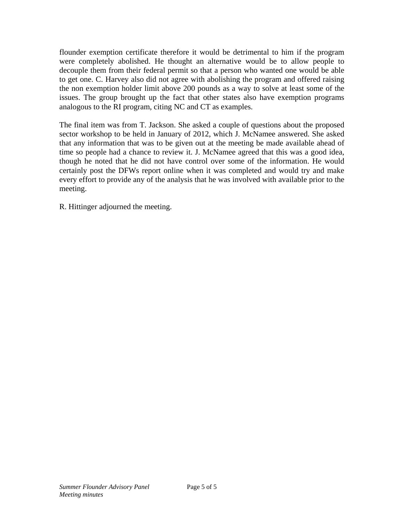flounder exemption certificate therefore it would be detrimental to him if the program were completely abolished. He thought an alternative would be to allow people to decouple them from their federal permit so that a person who wanted one would be able to get one. C. Harvey also did not agree with abolishing the program and offered raising the non exemption holder limit above 200 pounds as a way to solve at least some of the issues. The group brought up the fact that other states also have exemption programs analogous to the RI program, citing NC and CT as examples.

The final item was from T. Jackson. She asked a couple of questions about the proposed sector workshop to be held in January of 2012, which J. McNamee answered. She asked that any information that was to be given out at the meeting be made available ahead of time so people had a chance to review it. J. McNamee agreed that this was a good idea, though he noted that he did not have control over some of the information. He would certainly post the DFWs report online when it was completed and would try and make every effort to provide any of the analysis that he was involved with available prior to the meeting.

R. Hittinger adjourned the meeting.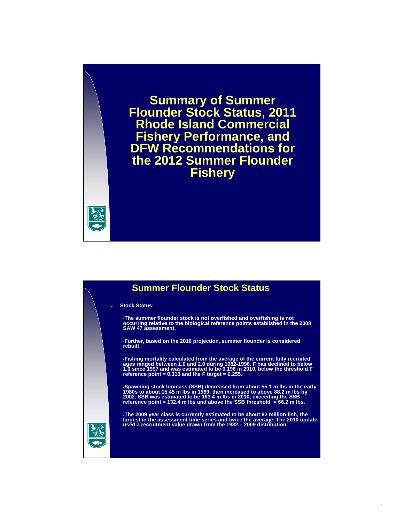**Summary of Summer Flounder Stock Status, 2011 Rhode Island Commercial Fishery Performance, and DFW Recommendations for the 2012 Summer Flounder Fishery**

## **Summer Flounder Stock Status**

**Stock Status:**

**The summer flounder stock is not overfished and overfishing is not occurring relative to the biological reference points established in the 2008 SAW 47 assessment.** 

**Further, based on the 2010 projection, summer flounder is considered rebuilt.**

.Fishing mortality calculated from the average of the current fully recruited<br>ages ranged between 1.0 and 2.0 during 1982-1996. F has declined to below<br>1.0 since 1997 and was estimated to be 0.196 in 2010, below the thresh

.Spawning stock biomass (SSB) decreased from about 55.1 m lbs in the early<br>1980s to about 15.45 m lbs in 1989, then increased to above 88.2 m lbs by<br>2002. SSB was estimated to be 163.4 m lbs in 2010, exceeding the SSB<br>refe

.The 2009 year class is currently estimated to be about 82 million fish, the<br>largest in the assessment time series and twice the average. The 2010 update<br>used a recruitment value drawn from the 1982 – 2009 distribution.

1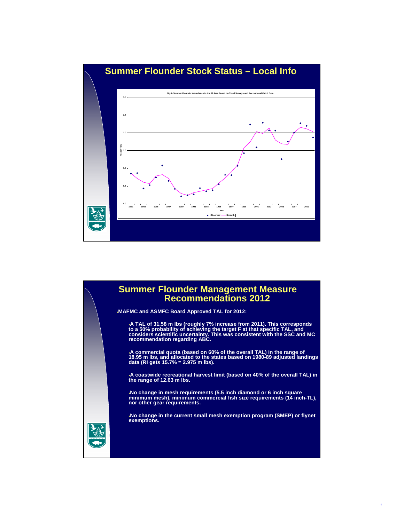

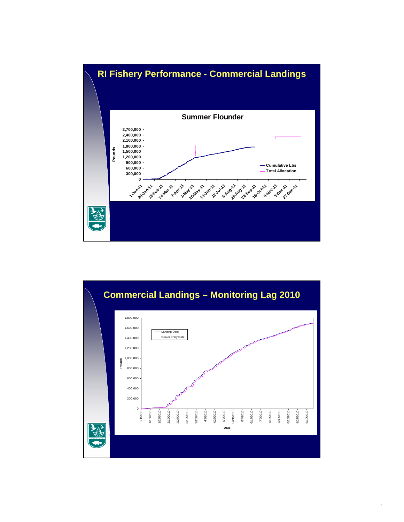



3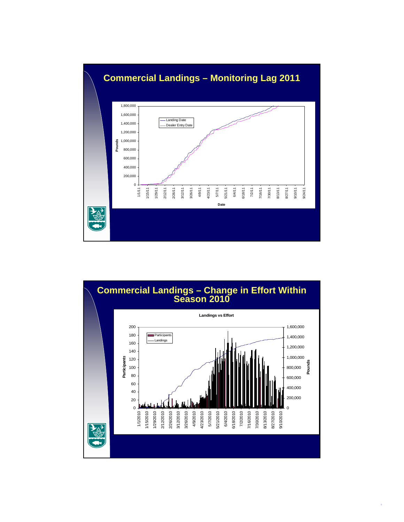



4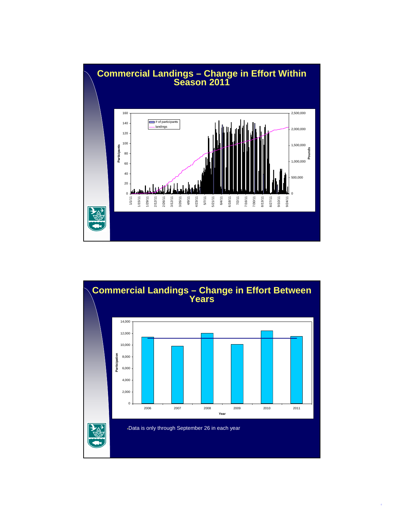

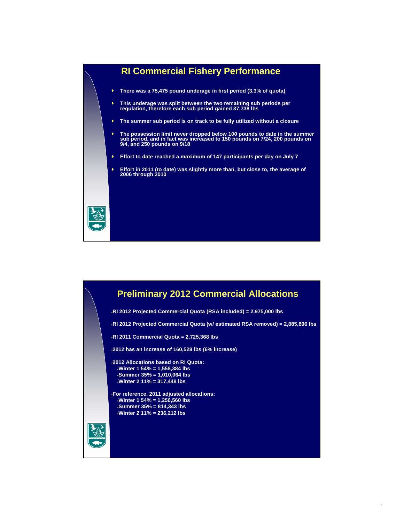

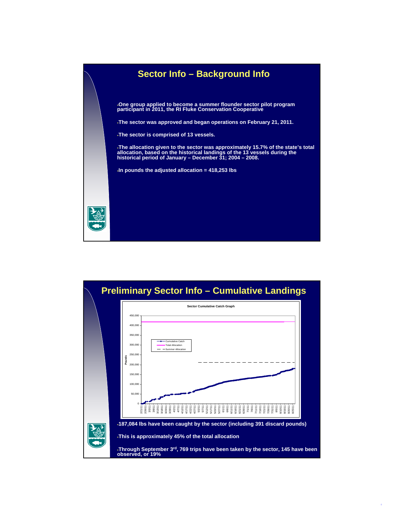

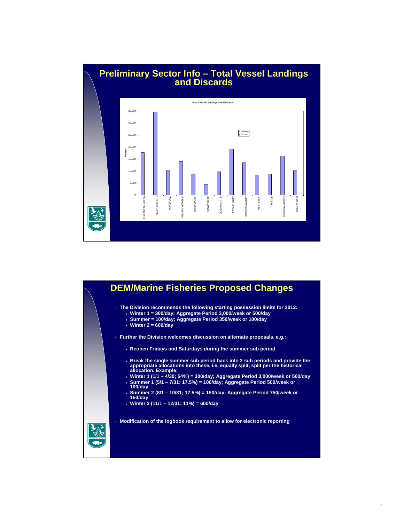